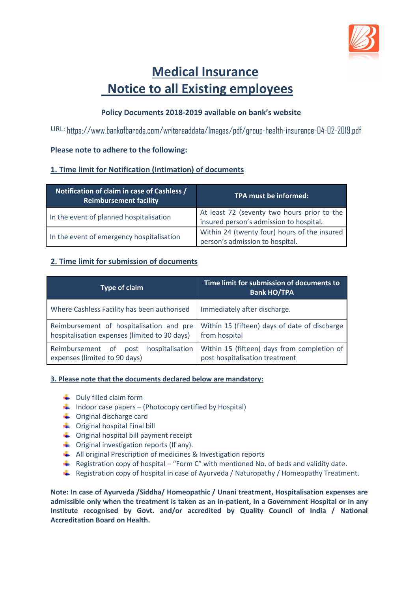

# **Medical Insurance Notice to all Existing employees**

## **Policy Documents 2018-2019 available on bank's website**

URL: https://www.bankofbaroda.com/writereaddata/Images/pdf/group-health-insurance-04-02-2019.pdf

## **Please note to adhere to the following:**

## **1. Time limit for Notification (Intimation) of documents**

| Notification of claim in case of Cashless /<br><b>Reimbursement facility</b> | TPA must be informed:                                                                  |
|------------------------------------------------------------------------------|----------------------------------------------------------------------------------------|
| In the event of planned hospitalisation                                      | At least 72 (seventy two hours prior to the<br>insured person's admission to hospital. |
| In the event of emergency hospitalisation                                    | Within 24 (twenty four) hours of the insured<br>person's admission to hospital.        |

## **2. Time limit for submission of documents**

| Type of claim                                                                             | Time limit for submission of documents to<br><b>Bank HO/TPA</b>               |
|-------------------------------------------------------------------------------------------|-------------------------------------------------------------------------------|
| Where Cashless Facility has been authorised                                               | Immediately after discharge.                                                  |
| Reimbursement of hospitalisation and pre<br>hospitalisation expenses (limited to 30 days) | Within 15 (fifteen) days of date of discharge<br>from hospital                |
| hospitalisation<br>Reimbursement of<br>post<br>expenses (limited to 90 days)              | Within 15 (fifteen) days from completion of<br>post hospitalisation treatment |

### **3. Please note that the documents declared below are mandatory:**

- $\downarrow$  Duly filled claim form
- $\downarrow$  Indoor case papers (Photocopy certified by Hospital)
- $\triangleq$  Original discharge card
- $\leftarrow$  Original hospital Final bill
- $\leftarrow$  Original hospital bill payment receipt
- $\leftarrow$  Original investigation reports (If any).
- $\frac{1}{\sqrt{2}}$  All original Prescription of medicines & Investigation reports
- Registration copy of hospital "Form C" with mentioned No. of beds and validity date.
- Registration copy of hospital in case of Ayurveda / Naturopathy / Homeopathy Treatment.

**Note: In case of Ayurveda /Siddha/ Homeopathic / Unani treatment, Hospitalisation expenses are admissible only when the treatment is taken as an in-patient, in a Government Hospital or in any Institute recognised by Govt. and/or accredited by Quality Council of India / National Accreditation Board on Health.**